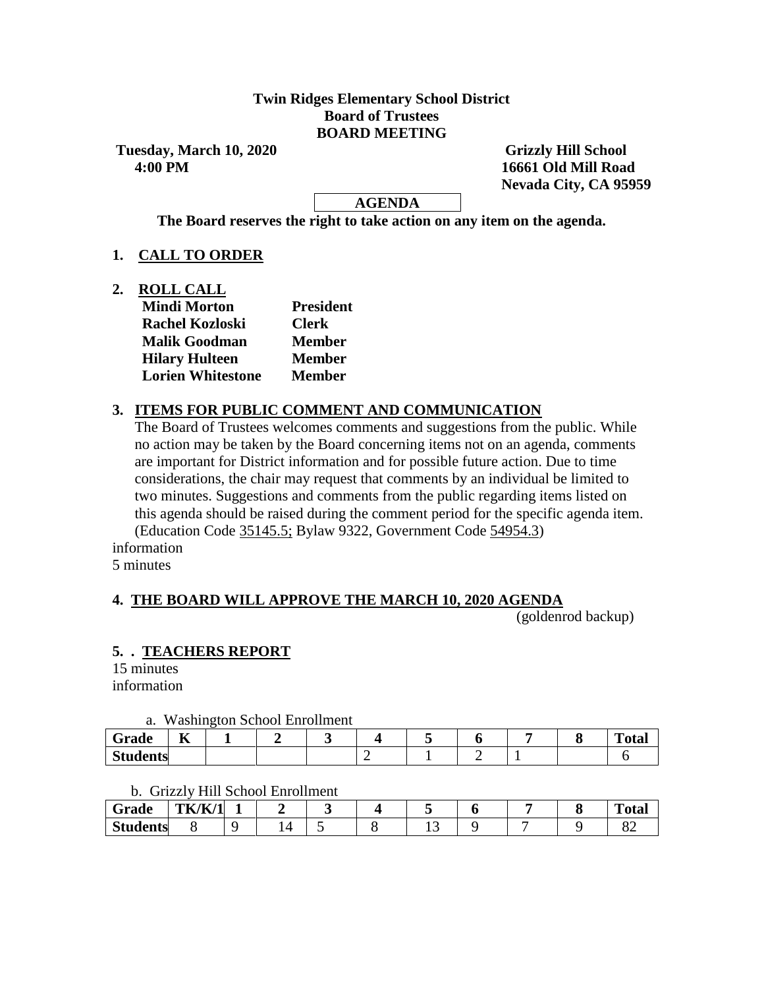### **Twin Ridges Elementary School District Board of Trustees BOARD MEETING**

**Tuesday, March 10, 2020 Grizzly Hill School 4:00 PM 16661 Old Mill Road**

 **Nevada City, CA 95959**

### **AGENDA**

**The Board reserves the right to take action on any item on the agenda.**

### **1. CALL TO ORDER**

**2. ROLL CALL**

| <b>Mindi Morton</b>      | <b>President</b> |  |  |  |
|--------------------------|------------------|--|--|--|
| <b>Rachel Kozloski</b>   | <b>Clerk</b>     |  |  |  |
| <b>Malik Goodman</b>     | <b>Member</b>    |  |  |  |
| <b>Hilary Hulteen</b>    | <b>Member</b>    |  |  |  |
| <b>Lorien Whitestone</b> | <b>Member</b>    |  |  |  |

### **3. ITEMS FOR PUBLIC COMMENT AND COMMUNICATION**

The Board of Trustees welcomes comments and suggestions from the public. While no action may be taken by the Board concerning items not on an agenda, comments are important for District information and for possible future action. Due to time considerations, the chair may request that comments by an individual be limited to two minutes. Suggestions and comments from the public regarding items listed on this agenda should be raised during the comment period for the specific agenda item. (Education Code 35145.5; Bylaw 9322, Government Code 54954.3)

information

5 minutes

## **4. THE BOARD WILL APPROVE THE MARCH 10, 2020 AGENDA**

(goldenrod backup)

## **5. . TEACHERS REPORT**

15 minutes information

#### a. Washington School Enrollment

| -<br>Grade      | $-$<br>A |  |  |  |  | m.<br>`otal |
|-----------------|----------|--|--|--|--|-------------|
| <b>Students</b> |          |  |  |  |  |             |

#### b. Grizzly Hill School Enrollment

| Grade           | <b>TK/K/1</b> | - |        |  |     |  | <b>CONTINUES</b><br>''otal |
|-----------------|---------------|---|--------|--|-----|--|----------------------------|
| <b>Students</b> |               |   | $\sim$ |  | ⊥ ~ |  | $\Omega$<br>ÖΖ             |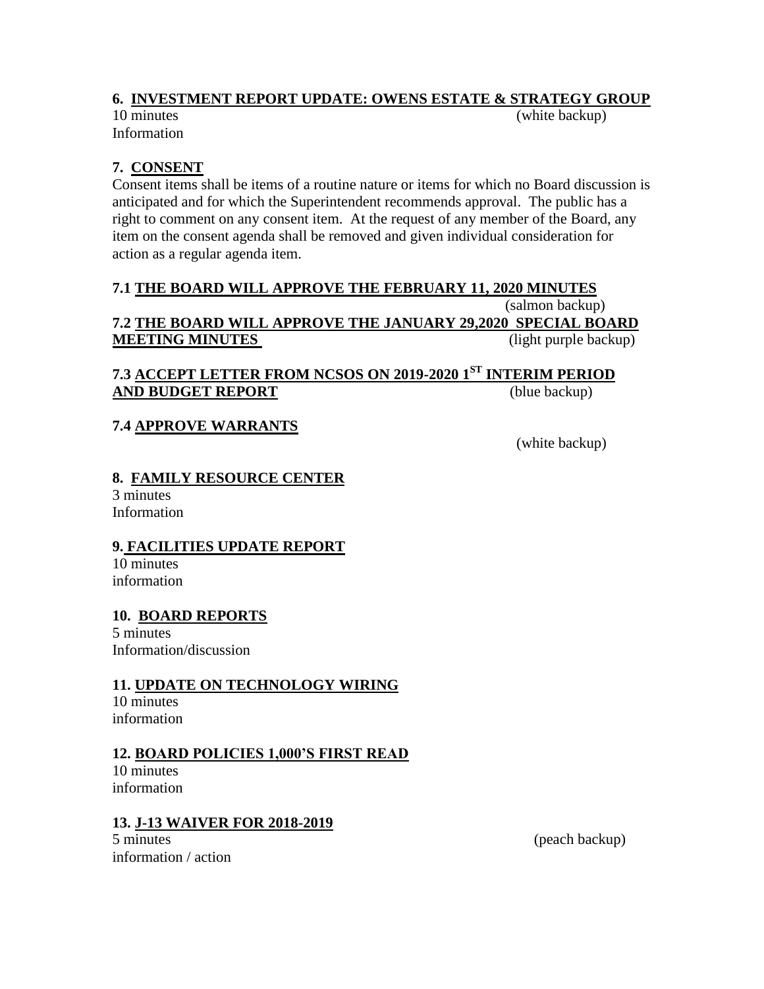## **6. INVESTMENT REPORT UPDATE: OWENS ESTATE & STRATEGY GROUP**

Information

10 minutes (white backup)

# **7. CONSENT**

Consent items shall be items of a routine nature or items for which no Board discussion is anticipated and for which the Superintendent recommends approval. The public has a right to comment on any consent item. At the request of any member of the Board, any item on the consent agenda shall be removed and given individual consideration for action as a regular agenda item.

## **7.1 THE BOARD WILL APPROVE THE FEBRUARY 11, 2020 MINUTES**

### (salmon backup) **7.2 THE BOARD WILL APPROVE THE JANUARY 29,2020 SPECIAL BOARD MEETING MINUTES**

## **7.3 ACCEPT LETTER FROM NCSOS ON 2019-2020 1ST INTERIM PERIOD AND BUDGET REPORT** (blue backup)

## **7.4 APPROVE WARRANTS**

(white backup)

### **8. FAMILY RESOURCE CENTER**

3 minutes Information

#### **9. FACILITIES UPDATE REPORT**

10 minutes information

# **10. BOARD REPORTS**

5 minutes Information/discussion

## **11. UPDATE ON TECHNOLOGY WIRING**

10 minutes information

#### **12. BOARD POLICIES 1,000'S FIRST READ**

10 minutes information

## **13. J-13 WAIVER FOR 2018-2019**

5 minutes (peach backup) information / action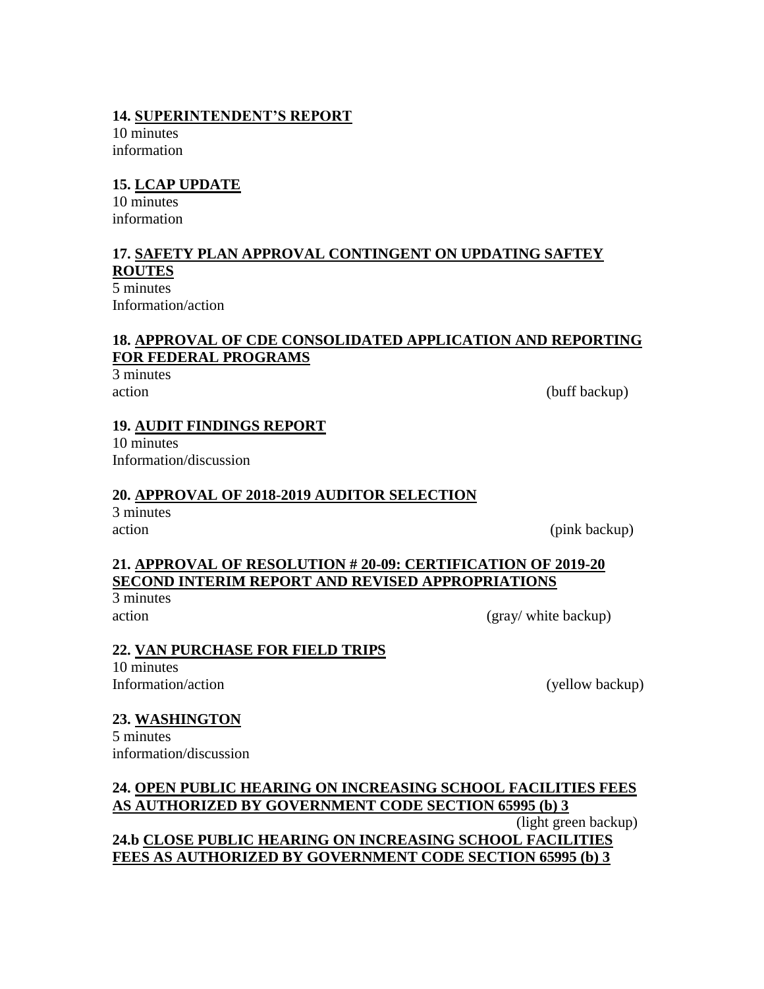#### **14. SUPERINTENDENT'S REPORT**

10 minutes information

### **15. LCAP UPDATE**

10 minutes information

## **17. SAFETY PLAN APPROVAL CONTINGENT ON UPDATING SAFTEY ROUTES**

5 minutes Information/action

## **18. APPROVAL OF CDE CONSOLIDATED APPLICATION AND REPORTING FOR FEDERAL PROGRAMS**

3 minutes

action (buff backup)

### **19. AUDIT FINDINGS REPORT**

10 minutes Information/discussion

#### **20. APPROVAL OF 2018-2019 AUDITOR SELECTION**

3 minutes

action (pink backup)

### **21. APPROVAL OF RESOLUTION # 20-09: CERTIFICATION OF 2019-20 SECOND INTERIM REPORT AND REVISED APPROPRIATIONS**

3 minutes

action (gray/ white backup)

#### **22. VAN PURCHASE FOR FIELD TRIPS**

10 minutes Information/action (yellow backup)

#### **23. WASHINGTON**

5 minutes information/discussion

### **24. OPEN PUBLIC HEARING ON INCREASING SCHOOL FACILITIES FEES AS AUTHORIZED BY GOVERNMENT CODE SECTION 65995 (b) 3** (light green backup) **24.b CLOSE PUBLIC HEARING ON INCREASING SCHOOL FACILITIES FEES AS AUTHORIZED BY GOVERNMENT CODE SECTION 65995 (b) 3**